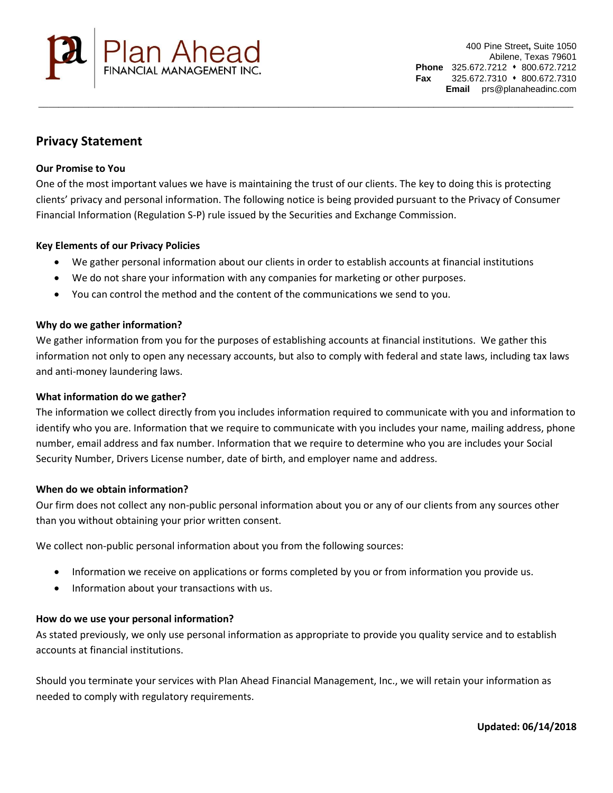

# **Privacy Statement**

## **Our Promise to You**

One of the most important values we have is maintaining the trust of our clients. The key to doing this is protecting clients' privacy and personal information. The following notice is being provided pursuant to the Privacy of Consumer Financial Information (Regulation S-P) rule issued by the Securities and Exchange Commission.

\_\_\_\_\_\_\_\_\_\_\_\_\_\_\_\_\_\_\_\_\_\_\_\_\_\_\_\_\_\_\_\_\_\_\_\_\_\_\_\_\_\_\_\_\_\_\_\_\_\_\_\_\_\_\_\_\_\_\_\_\_\_\_\_\_\_\_\_\_\_\_\_\_\_\_\_\_\_\_\_\_\_\_\_\_\_\_\_\_\_\_\_\_\_\_\_\_\_\_\_\_\_\_\_\_\_\_

## **Key Elements of our Privacy Policies**

- We gather personal information about our clients in order to establish accounts at financial institutions
- We do not share your information with any companies for marketing or other purposes.
- You can control the method and the content of the communications we send to you.

### **Why do we gather information?**

We gather information from you for the purposes of establishing accounts at financial institutions. We gather this information not only to open any necessary accounts, but also to comply with federal and state laws, including tax laws and anti-money laundering laws.

### **What information do we gather?**

The information we collect directly from you includes information required to communicate with you and information to identify who you are. Information that we require to communicate with you includes your name, mailing address, phone number, email address and fax number. Information that we require to determine who you are includes your Social Security Number, Drivers License number, date of birth, and employer name and address.

### **When do we obtain information?**

Our firm does not collect any non-public personal information about you or any of our clients from any sources other than you without obtaining your prior written consent.

We collect non-public personal information about you from the following sources:

- Information we receive on applications or forms completed by you or from information you provide us.
- Information about your transactions with us.

### **How do we use your personal information?**

As stated previously, we only use personal information as appropriate to provide you quality service and to establish accounts at financial institutions.

Should you terminate your services with Plan Ahead Financial Management, Inc., we will retain your information as needed to comply with regulatory requirements.